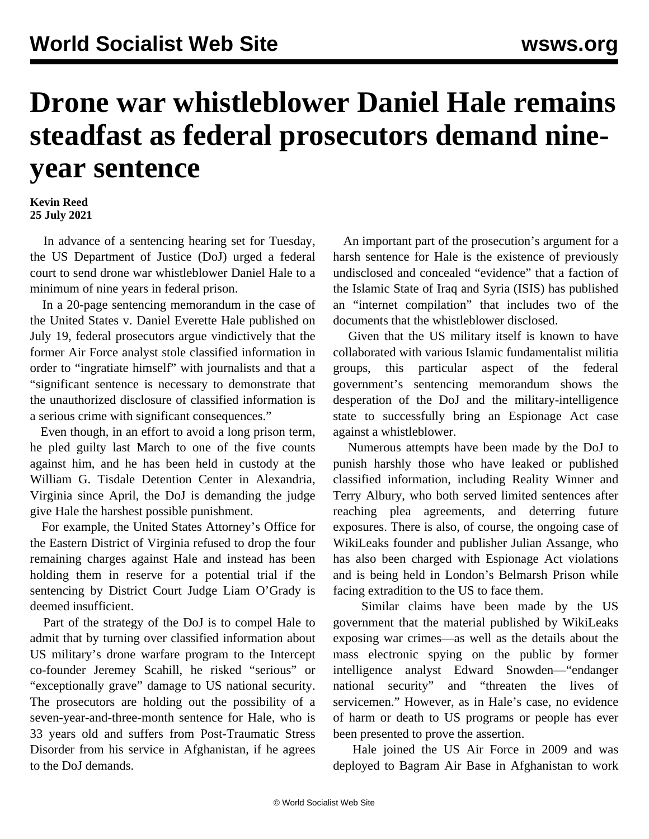## **Drone war whistleblower Daniel Hale remains steadfast as federal prosecutors demand nineyear sentence**

## **Kevin Reed 25 July 2021**

 In advance of a sentencing hearing set for Tuesday, the US Department of Justice (DoJ) urged a federal court to send drone war whistleblower Daniel Hale to a minimum of nine years in federal prison.

 In a 20-page sentencing memorandum in the case of the United States v. Daniel Everette Hale published on July 19, federal prosecutors argue vindictively that the former Air Force analyst stole classified information in order to "ingratiate himself" with journalists and that a "significant sentence is necessary to demonstrate that the unauthorized disclosure of classified information is a serious crime with significant consequences."

 Even though, in an effort to avoid a long prison term, he pled guilty last March to one of the five counts against him, and he has been held in custody at the William G. Tisdale Detention Center in Alexandria, Virginia since April, the DoJ is demanding the judge give Hale the harshest possible punishment.

 For example, the United States Attorney's Office for the Eastern District of Virginia refused to drop the four remaining charges against Hale and instead has been holding them in reserve for a potential trial if the sentencing by District Court Judge Liam O'Grady is deemed insufficient.

 Part of the strategy of the DoJ is to compel Hale to admit that by turning over classified information about US military's drone warfare program to the Intercept co-founder Jeremey Scahill, he risked "serious" or "exceptionally grave" damage to US national security. The prosecutors are holding out the possibility of a seven-year-and-three-month sentence for Hale, who is 33 years old and suffers from Post-Traumatic Stress Disorder from his service in Afghanistan, if he agrees to the DoJ demands.

 An important part of the prosecution's argument for a harsh sentence for Hale is the existence of previously undisclosed and concealed "evidence" that a faction of the Islamic State of Iraq and Syria (ISIS) has published an "internet compilation" that includes two of the documents that the whistleblower disclosed.

 Given that the US military itself is known to have collaborated with various Islamic fundamentalist militia groups, this particular aspect of the federal government's sentencing memorandum shows the desperation of the DoJ and the military-intelligence state to successfully bring an Espionage Act case against a whistleblower.

 Numerous attempts have been made by the DoJ to punish harshly those who have leaked or published classified information, including Reality Winner and Terry Albury, who both served limited sentences after reaching plea agreements, and deterring future exposures. There is also, of course, the ongoing case of WikiLeaks founder and publisher Julian Assange, who has also been charged with Espionage Act violations and is being held in London's Belmarsh Prison while facing extradition to the US to face them.

 Similar claims have been made by the US government that the material published by WikiLeaks exposing war crimes—as well as the details about the mass electronic spying on the public by former intelligence analyst Edward Snowden—"endanger national security" and "threaten the lives of servicemen." However, as in Hale's case, no evidence of harm or death to US programs or people has ever been presented to prove the assertion.

 Hale joined the US Air Force in 2009 and was deployed to Bagram Air Base in Afghanistan to work